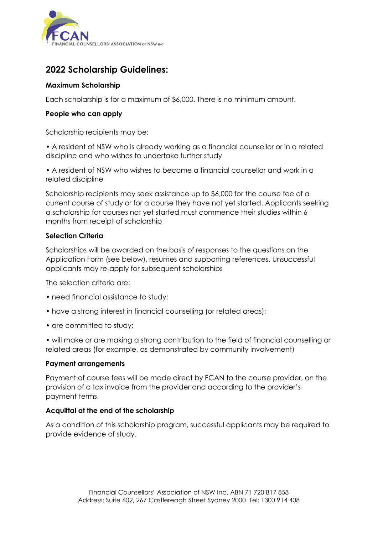

# **2022 Scholarship Guidelines:**

### **Maximum Scholarship**

Each scholarship is for a maximum of \$6,000. There is no minimum amount.

### **People who can apply**

Scholarship recipients may be:

• A resident of NSW who is already working as a financial counsellor or in a related discipline and who wishes to undertake further study

• A resident of NSW who wishes to become a financial counsellor and work in a related discipline

Scholarship recipients may seek assistance up to \$6,000 for the course fee of a current course of study or for a course they have not yet started. Applicants seeking a scholarship for courses not yet started must commence their studies within 6 months from receipt of scholarship

### **Selection Criteria**

Scholarships will be awarded on the basis of responses to the questions on the Application Form (see below), resumes and supporting references. Unsuccessful applicants may re-apply for subsequent scholarships

The selection criteria are:

- need financial assistance to study;
- have a strong interest in financial counselling (or related areas);
- are committed to study;

• will make or are making a strong contribution to the field of financial counselling or related areas (for example, as demonstrated by community involvement)

### **Payment arrangements**

Payment of course fees will be made direct by FCAN to the course provider, on the provision of a tax invoice from the provider and according to the provider's payment terms.

### **Acquittal at the end of the scholarship**

As a condition of this scholarship program, successful applicants may be required to provide evidence of study.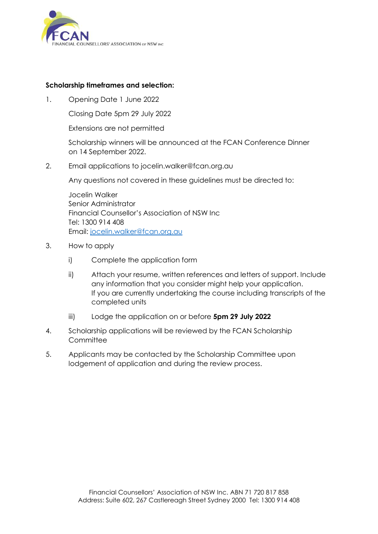

### **Scholarship timeframes and selection:**

1. Opening Date 1 June 2022

Closing Date 5pm 29 July 2022

Extensions are not permitted

Scholarship winners will be announced at the FCAN Conference Dinner on 14 September 2022.

2. Email applications to jocelin.walker@fcan.org.au

Any questions not covered in these guidelines must be directed to:

Jocelin Walker Senior Administrator Financial Counsellor's Association of NSW Inc Tel: 1300 914 408 Email: [jocelin.walker@fcan.org.au](mailto:jocelin.walker@fcan.org.au)

- 3. How to apply
	- i) Complete the application form
	- ii) Attach your resume, written references and letters of support. Include any information that you consider might help your application. If you are currently undertaking the course including transcripts of the completed units
	- iii) Lodge the application on or before **5pm 29 July 2022**
- 4. Scholarship applications will be reviewed by the FCAN Scholarship **Committee**
- 5. Applicants may be contacted by the Scholarship Committee upon lodgement of application and during the review process.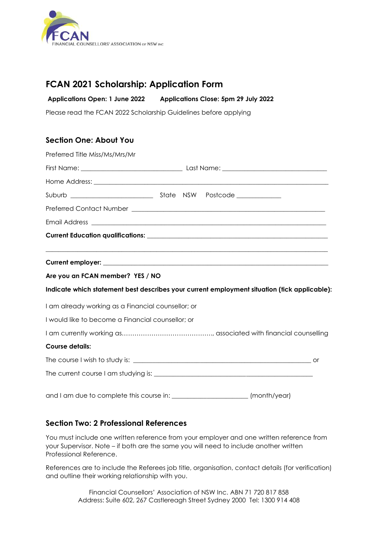

## **FCAN 2021 Scholarship: Application Form**

**Applications Open: 1 June 2022 Applications Close: 5pm 29 July 2022**

Please read the FCAN 2022 Scholarship Guidelines before applying

## **Section One: About You**

| Preferred Title Miss/Ms/Mrs/Mr                                                               |  |  |              |  |
|----------------------------------------------------------------------------------------------|--|--|--------------|--|
|                                                                                              |  |  |              |  |
|                                                                                              |  |  |              |  |
|                                                                                              |  |  |              |  |
|                                                                                              |  |  |              |  |
|                                                                                              |  |  |              |  |
|                                                                                              |  |  |              |  |
|                                                                                              |  |  |              |  |
| Are you an FCAN member? YES / NO                                                             |  |  |              |  |
| Indicate which statement best describes your current employment situation (tick applicable): |  |  |              |  |
| I am already working as a Financial counsellor; or                                           |  |  |              |  |
| I would like to become a Financial counsellor; or                                            |  |  |              |  |
|                                                                                              |  |  |              |  |
| <b>Course details:</b>                                                                       |  |  |              |  |
|                                                                                              |  |  |              |  |
|                                                                                              |  |  |              |  |
|                                                                                              |  |  | (month/year) |  |

### **Section Two: 2 Professional References**

You must include one written reference from your employer and one written reference from your Supervisor. Note – if both are the same you will need to include another written Professional Reference.

References are to include the Referees job title, organisation, contact details (for verification) and outline their working relationship with you.

> Financial Counsellors' Association of NSW Inc. ABN 71 720 817 858 Address: Suite 602, 267 Castlereagh Street Sydney 2000 Tel: 1300 914 408